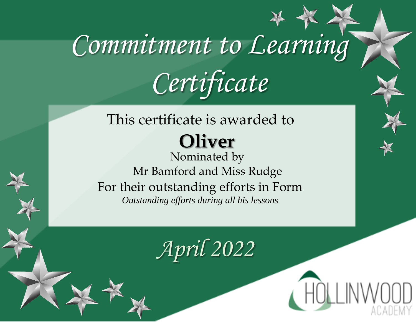#### This certificate is awarded to **Oliver**

Nominated by Mr Bamford and Miss Rudge For their outstanding efforts in Form *Outstanding efforts during all his lessons*

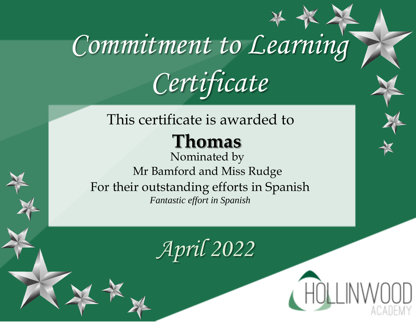#### This certificate is awarded to

### **Thomas**

Nominated by Mr Bamford and Miss Rudge For their outstanding efforts in Spanish *Fantastic effort in Spanish*

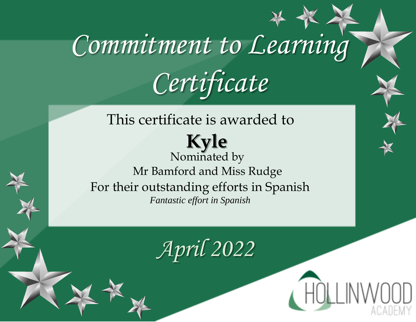This certificate is awarded to **Kyle**  Nominated by Mr Bamford and Miss Rudge For their outstanding efforts in Spanish *Fantastic effort in Spanish*

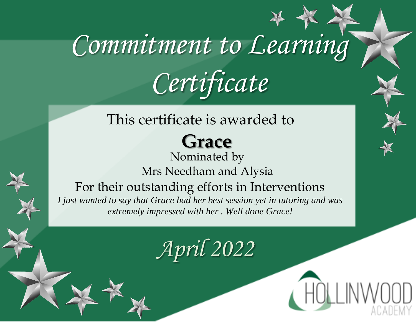#### This certificate is awarded to

### **Grace**

Nominated by Mrs Needham and Alysia For their outstanding efforts in Interventions *I just wanted to say that Grace had her best session yet in tutoring and was extremely impressed with her . Well done Grace!*

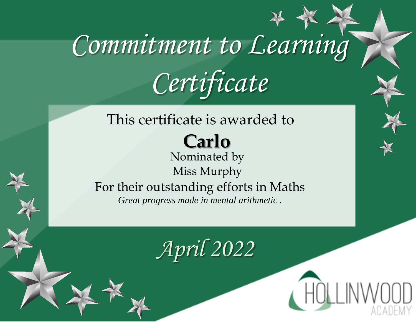#### This certificate is awarded to

### **Carlo**

Nominated by Miss Murphy For their outstanding efforts in Maths *Great progress made in mental arithmetic .*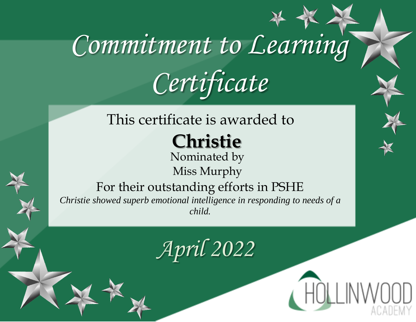#### This certificate is awarded to

### **Christie**

Nominated by Miss Murphy

#### For their outstanding efforts in PSHE

*Christie showed superb emotional intelligence in responding to needs of a child.*

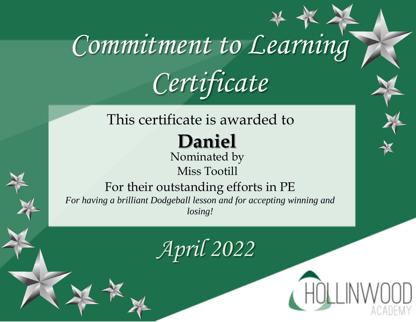#### This certificate is awarded to

### **Daniel**

Nominated by Miss Tootill

#### For their outstanding efforts in PE

*For having a brilliant Dodgeball lesson and for accepting winning and losing!*

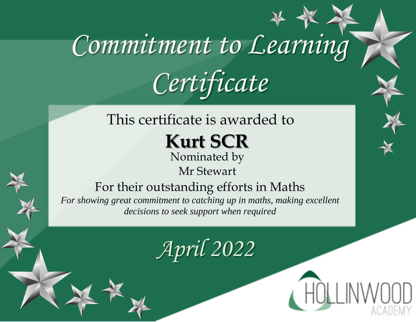#### This certificate is awarded to

**Kurt SCR**

Nominated by

Mr Stewart

#### For their outstanding efforts in Maths

*For showing great commitment to catching up in maths, making excellent decisions to seek support when required*

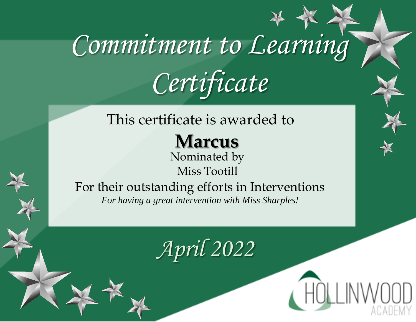#### This certificate is awarded to

**Marcus** 

Nominated by Miss Tootill

For their outstanding efforts in Interventions *For having a great intervention with Miss Sharples!*

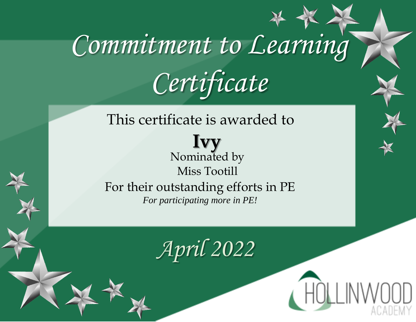This certificate is awarded to

**Ivy**  Nominated by Miss Tootill For their outstanding efforts in PE *For participating more in PE!*

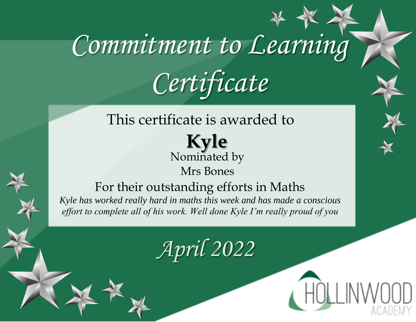This certificate is awarded to

**Kyle**  Nominated by

Mrs Bones

For their outstanding efforts in Maths *Kyle has worked really hard in maths this week and has made a conscious effort to complete all of his work. Well done Kyle I'm really proud of you*

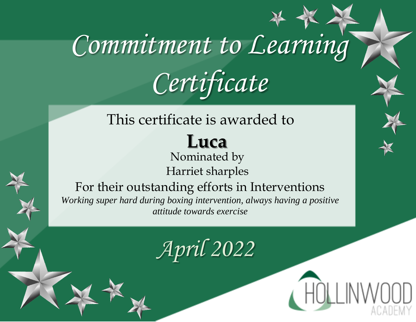#### This certificate is awarded to

## **Luca**

#### Nominated by Harriet sharples



For their outstanding efforts in Interventions *Working super hard during boxing intervention, always having a positive* 

*attitude towards exercise*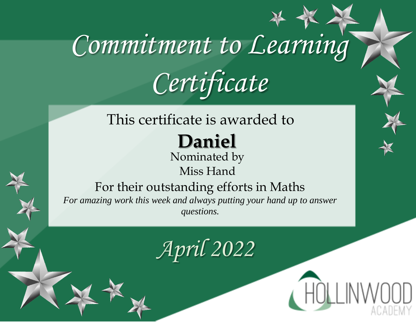#### This certificate is awarded to

### **Daniel**

#### Nominated by Miss Hand

#### For their outstanding efforts in Maths

*For amazing work this week and always putting your hand up to answer questions.*

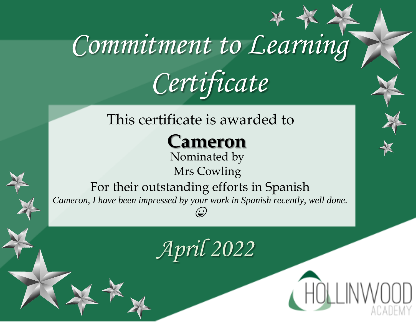#### This certificate is awarded to

**Cameron**

Nominated by Mrs Cowling

For their outstanding efforts in Spanish *Cameron, I have been impressed by your work in Spanish recently, well done.*  (پ)

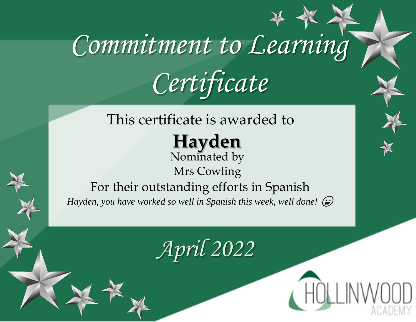#### This certificate is awarded to

**Hayden** Nominated by

Mrs Cowling For their outstanding efforts in Spanish

*Hayden, you have worked so well in Spanish this week, well done!* 

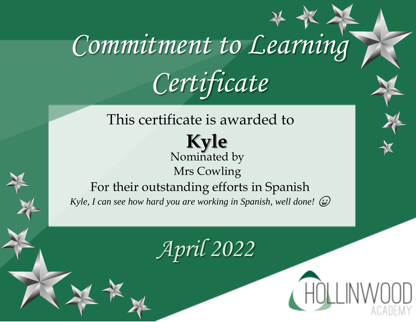This certificate is awarded to

**Kyle** Nominated by Mrs Cowling For their outstanding efforts in Spanish *Kyle, I can see how hard you are working in Spanish, well done!* 



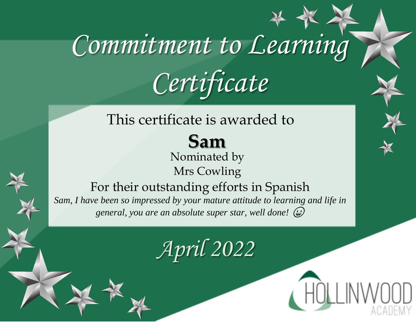#### This certificate is awarded to

#### **Sam** Nominated by

Mrs Cowling

For their outstanding efforts in Spanish *Sam, I have been so impressed by your mature attitude to learning and life in general, you are an absolute super star, well done!*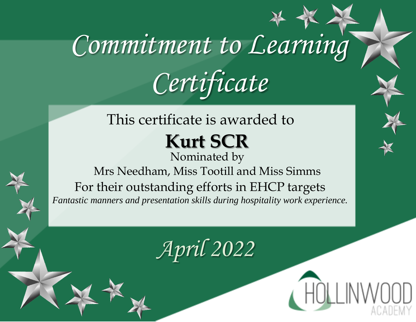This certificate is awarded to

**Kurt SCR**

Nominated by Mrs Needham, Miss Tootill and Miss Simms For their outstanding efforts in EHCP targets *Fantastic manners and presentation skills during hospitality work experience.*



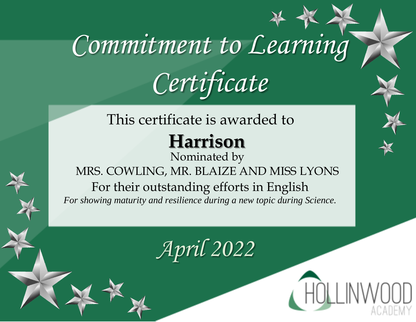#### This certificate is awarded to

### **Harrison**

Nominated by MRS. COWLING, MR. BLAIZE AND MISS LYONS For their outstanding efforts in English *For showing maturity and resilience during a new topic during Science.*



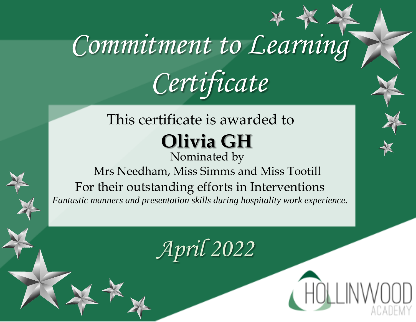#### This certificate is awarded to **Olivia GH**

Nominated by Mrs Needham, Miss Simms and Miss Tootill For their outstanding efforts in Interventions *Fantastic manners and presentation skills during hospitality work experience.*



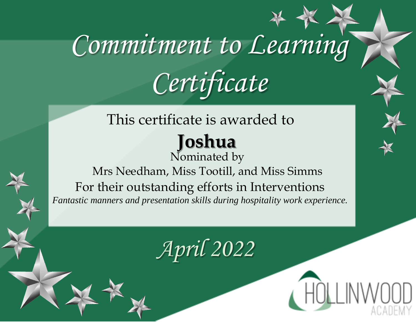### This certificate is awarded to

#### **Joshua**  Nominated by

Mrs Needham, Miss Tootill, and Miss Simms For their outstanding efforts in Interventions *Fantastic manners and presentation skills during hospitality work experience.*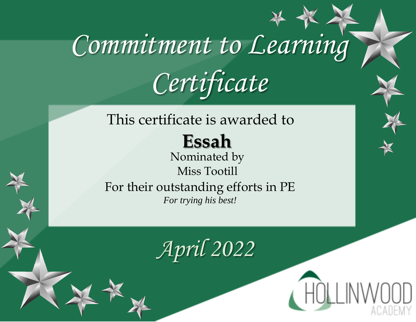#### This certificate is awarded to

### **Essah**

Nominated by Miss Tootill For their outstanding efforts in PE *For trying his best!*

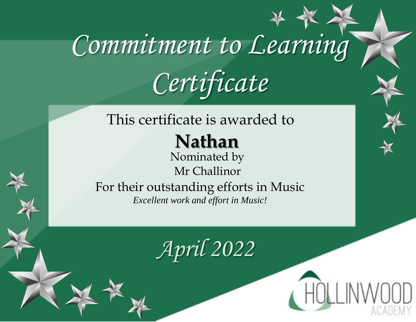#### This certificate is awarded to

**Nathan**

Nominated by Mr Challinor

For their outstanding efforts in Music *Excellent work and effort in Music!*

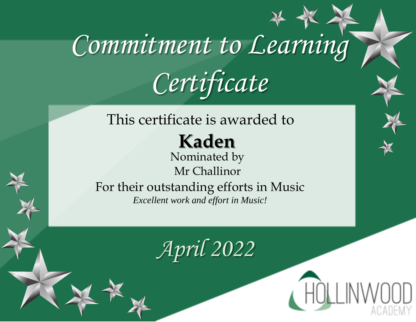This certificate is awarded to

**Kaden**

Nominated by Mr Challinor

For their outstanding efforts in Music *Excellent work and effort in Music!*

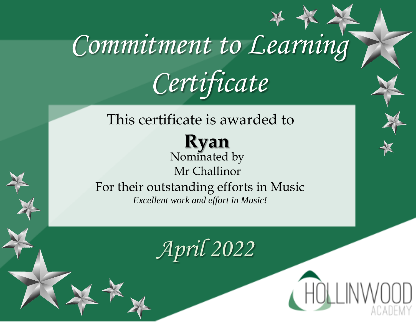This certificate is awarded to

**Ryan** Nominated by Mr Challinor For their outstanding efforts in Music *Excellent work and effort in Music!*

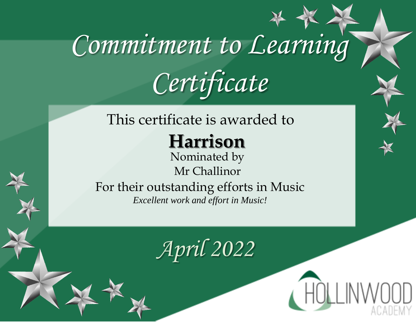#### This certificate is awarded to

### **Harrison**

Nominated by Mr Challinor

For their outstanding efforts in Music *Excellent work and effort in Music!*

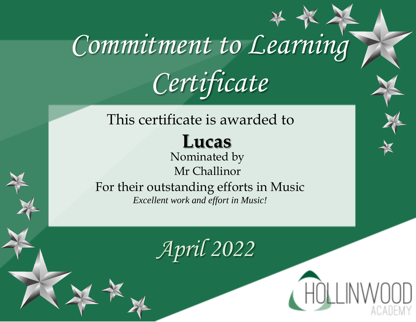#### This certificate is awarded to

### **Lucas**

Nominated by Mr Challinor For their outstanding efforts in Music

*Excellent work and effort in Music!*

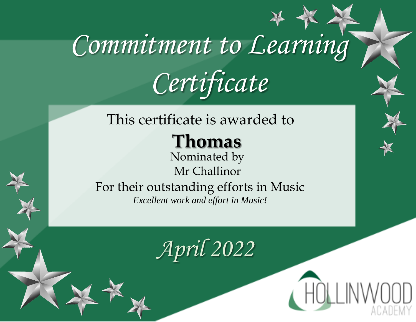#### This certificate is awarded to

### **Thomas**

Nominated by Mr Challinor

For their outstanding efforts in Music *Excellent work and effort in Music!*

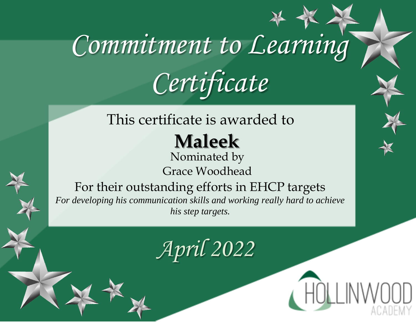#### This certificate is awarded to

### **Maleek**

Nominated by Grace Woodhead



For their outstanding efforts in EHCP targets *For developing his communication skills and working really hard to achieve his step targets.*



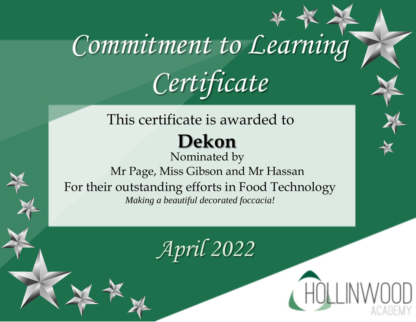## This certificate is awarded to

#### **Dekon**  Nominated by Mr Page, Miss Gibson and Mr Hassan For their outstanding efforts in Food Technology *Making a beautiful decorated foccacia!*

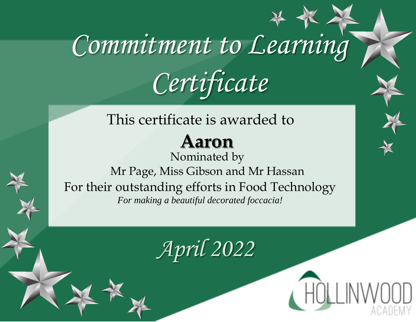This certificate is awarded to

### **Aaron**

Nominated by Mr Page, Miss Gibson and Mr Hassan For their outstanding efforts in Food Technology *For making a beautiful decorated foccacia!*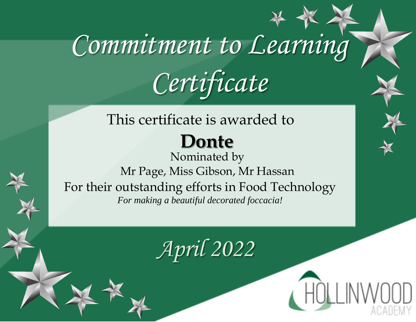#### This certificate is awarded to

### **Donte**

Nominated by Mr Page, Miss Gibson, Mr Hassan For their outstanding efforts in Food Technology *For making a beautiful decorated foccacia!*

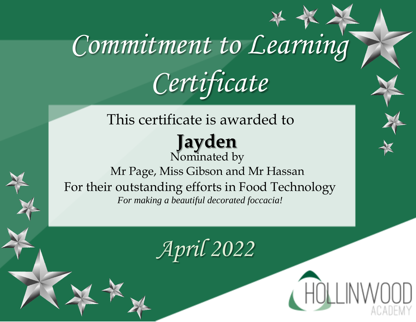This certificate is awarded to

**Jayden**  Nominated by Mr Page, Miss Gibson and Mr Hassan For their outstanding efforts in Food Technology *For making a beautiful decorated foccacia!*

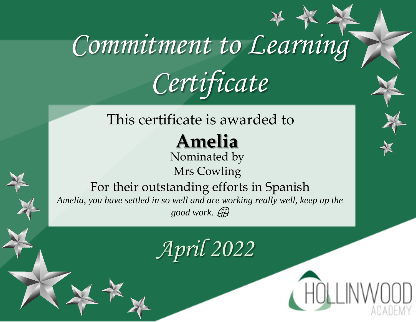#### This certificate is awarded to

### **Amelia**

Nominated by Mrs Cowling

For their outstanding efforts in Spanish *Amelia, you have settled in so well and are working really well, keep up the good work.* 

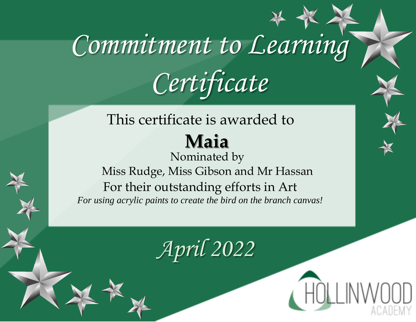#### This certificate is awarded to **Maia**

Nominated by Miss Rudge, Miss Gibson and Mr Hassan For their outstanding efforts in Art *For using acrylic paints to create the bird on the branch canvas!*



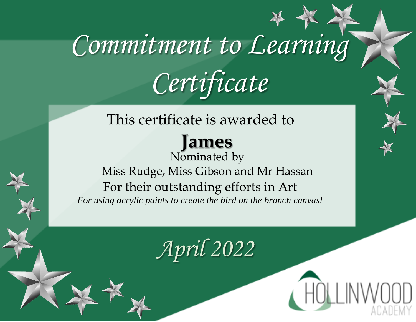#### This certificate is awarded to

#### **James**

Nominated by Miss Rudge, Miss Gibson and Mr Hassan For their outstanding efforts in Art *For using acrylic paints to create the bird on the branch canvas!*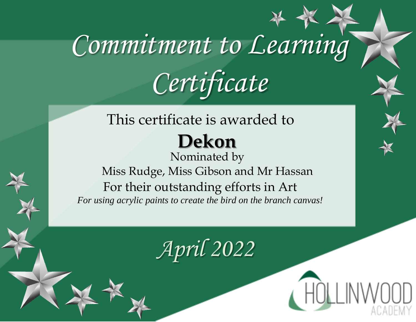#### This certificate is awarded to **Dekon**

Nominated by Miss Rudge, Miss Gibson and Mr Hassan For their outstanding efforts in Art *For using acrylic paints to create the bird on the branch canvas!*



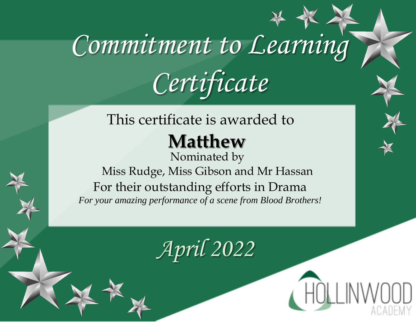#### This certificate is awarded to

### **Matthew**

Nominated by Miss Rudge, Miss Gibson and Mr Hassan For their outstanding efforts in Drama *For your amazing performance of a scene from Blood Brothers!*